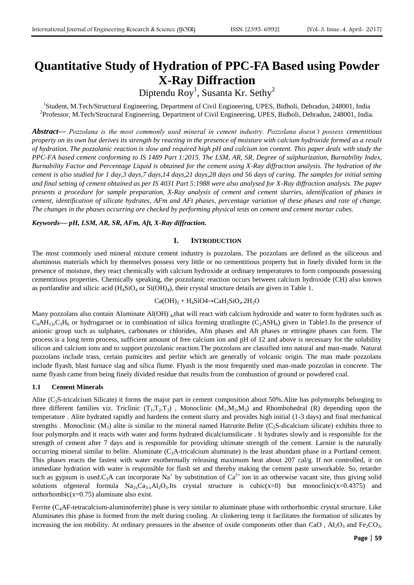# **Quantitative Study of Hydration of PPC-FA Based using Powder X-Ray Diffraction**

Diptendu Roy<sup>1</sup>, Susanta Kr. Sethy<sup>2</sup>

<sup>1</sup>Student, M.Tech/Structural Engineering, Department of Civil Engineering, UPES, Bidholi, Dehradun, 248001, India <sup>2</sup>Professor, M.Tech/Structural Engineering, Department of Civil Engineering, UPES, Bidholi, Dehradun, 248001, India.

*Abstract***—** *Pozzolana is the most commonly used mineral in cement industry. Pozzolana doesn't possess cementitious property on its own but derives its strength by reacting in the presence of moisture with calcium hydroxide formed as a result of hydration. The pozzolanic reaction is slow and required high pH and calcium ion content. This paper deals with study the PPC-FA based cement conforming to IS 1489 Part 1:2015. The LSM, AR, SR, Degree of sulphurization, Burnability Index, Burnability Factor and Percentage Liquid is obtained for the cement using X-Ray diffraction analysis. The hydration of the cement is also studied for 1 day,3 days,7 days,14 days,21 days,28 days and 56 days of curing. The samples for initial setting and final setting of cement obtained as per IS 4031 Part 5:1988 were also analysed for X-Ray diffraction analysis. The paper presents a procedure for sample preparation, X-Ray analysis of cement and cement slurries, identification of phases in cement, identification of silicate hydrates, AFm and AFt phases, percentage variation of these phases and rate of change. The changes in the phases occurring are checked by performing physical tests on cement and cement mortar cubes.*

### *Keywords***—** *pH, LSM, AR, SR, AFm, Aft, X-Ray diffraction.*

## **I. INTRODUCTION**

The most commonly used mineral mixture cement industry is pozzolans. The pozzolans are defined as the siliceous and aluminous materials which by themselves possess very little or no cementitious property but in finely divided form in the presence of moisture, they react chemically with calcium hydroxide at ordinary temperatures to form compounds possessing cementitious properties. Chemically speaking, the pozzolanic reaction occurs between calcium hydroxide (CH) also known as portlandite and silicic acid  $(H_4SiO_4$  or  $Si(OH)_4$ ), their crystal structure details are given in Table 1.

# $Ca(OH)<sub>2</sub> + H<sub>4</sub>SiO4 \rightarrow CaH<sub>2</sub>SiO<sub>4</sub>$ .2H<sub>2</sub>O

Many pozzolans also contain Aluminate Al(OH)<sup>-</sup><sub>4</sub>,that will react with calcium hydroxide and water to form hydrates such as  $C_4AH_{13}C_3H_6$  or hydrogarnet or in combination of silica forming stratlingite ( $C_2ASH_6$ ) given in Table1.In the presence of anionic group such as sulphates, carbonates or chlorides, Afm phases and Aft phases or ettringite phases can form. The process is a long term process, sufficient amount of free calcium ion and pH of 12 and above is necessary for the solubility silicon and calcium ions and to support pozzolanic reaction.The pozzolans are classified into natural and man-made. Natural pozzolans include trass, certain pumicites and perlite which are generally of volcanic origin. The man made pozzolans include flyash, blast furnace slag and silica flume. Flyash is the most frequently used man-made pozzolan in concrete. The name flyash came from being finely divided residue that results from the combustion of ground or powdered coal.

### **1.1 Cement Minerals**

Alite ( $C_3$ S-tricalcium Silicate) it forms the major part in cement composition about 50%. Alite has polymorphs belonging to three different families viz. Triclinic  $(T_1, T_2, T_3)$ , Monoclinic  $(M_1, M_2, M_3)$  and Rhombohedral (R) depending upon the temperature . Alite hydrated rapidly and hardens the cement slurry and provides high initial (1-3 days) and final mechanical strengths . Monoclinic  $(M_3)$  alite is similar to the mineral named Hatrurite.Belite (C<sub>2</sub>S-dicalcium silicate) exhibits three to four polymorphs and it reacts with water and forms hydrated dicalciumsilicate . It hydrates slowly and is responsible for the strength of cement after 7 days and is responsible for providing ultimate strength of the cement. Larnite is the naturally occurring mineral similar to belite. Aluminate  $(C_3A$ -tricalcium aluminate) is the least abundant phase in a Portland cement. This phases reacts the fastest with water exothermally releasing maximum heat about 207 cal/g. If not controlled, it on immediate hydration with water is responsible for flash set and thereby making the cement paste unworkable. So, retarder such as gypsum is used.C<sub>3</sub>A can incorporate Na<sup>+</sup> by substitution of Ca<sup>2+</sup> ion in an otherwise vacant site, thus giving solid solutions ofgeneral formula  $Na_{2x}Ca_{3-x}Al_2O_3$ .Its crystal structure is cubic(x=0) but monoclinic(x=0.4375) and orthorhombic( $x=0.75$ ) aluminate also exist.

Ferrite (C<sub>4</sub>AF-tetracalcium-aluminoferrite) phase is very similar to aluminate phase with orthorhombic crystal structure. Like Aluminates this phase is formed from the melt during cooling. At clinkering temp it facilitates the formation of silicates by increasing the ion mobility. At ordinary pressures in the absence of oxide components other than CaO,  $\text{Al}_2\text{O}_3$  and Fe<sub>2</sub>CO<sub>3</sub>,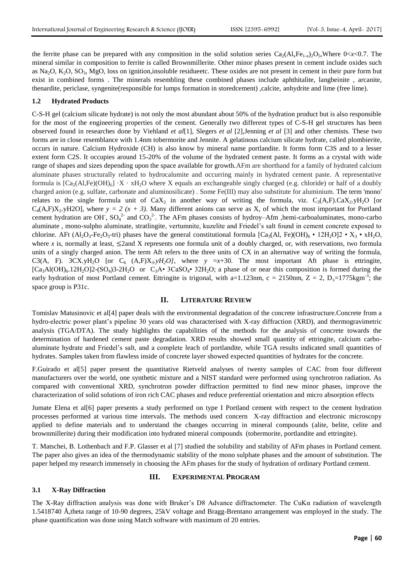the ferrite phase can be prepared with any composition in the solid solution series  $Ca_2(A1_xFe_{1-x})_2O_5$ , Where  $0 < x < 0.7$ . The mineral similar in composition to ferrite is called Brownmillerite. Other minor phases present in cement include oxides such as Na<sub>2</sub>O, K<sub>2</sub>O, SO<sub>3</sub>, MgO, loss on ignition,insoluble residueetc. These oxides are not present in cement in their pure form but exist in combined forms . The minerals resembling these combined phases include aphthitalite, langbeinite , arcanite, thenardite, periclase, syngenite(responsible for lumps formation in storedcement) ,calcite, anhydrite and lime (free lime).

## **1.2 Hydrated Products**

C-S-H gel (calcium silicate hydrate) is not only the most abundant about 50% of the hydration product but is also responsible for the most of the engineering properties of the cement. Generally two different types of C-S-H gel structures has been observed found in researches done by Viehland *et al*[1], Slegers *et al* [2],Jenning *et al* [3] and other chemists*.* These two forms are in close resemblance with 1.4nm tobermorite and Jennite. A gelatinous calcium silicate hydrate, called plombierite, occurs in nature. Calcium Hydroxide (CH) is also know by mineral name portlandite. It forms form C3S and to a lesser extent form C2S. It occupies around 15-20% of the volume of the hydrated cement paste. It forms as a crystal with wide range of shapes and sizes depending upon the space available for growth.AFm are shorthand for a family of hydrated calcium aluminate phases structurally related to hydrocalumite and occurring mainly in hydrated cement paste. A representative formula is  $[Ca_2(A),Fe)(OH)_6] \cdot X \cdot xH_2O$  where X equals an exchangeable singly charged (e.g. chloride) or half of a doubly charged anion (e.g. sulfate, carbonate and aluminosilicate) . Some Fe(III) may also substitute for aluminium. The term 'mono' relates to the single formula unit of  $CaX_2$  in another way of writing the formula, viz.  $C_3(A,F)$ . $CaX_2$ .yH<sub>2</sub>O [or C<sub>4</sub>(A,F)X<sub>2</sub>.yH2O], where  $y = 2(x + 3)$ . Many different anions can serve as X, of which the most important for Portland cement hydration are OH,  $SO_4^2$  and  $CO_3^2$ . The AFm phases consists of hydroy–Afm ,hemi-carboaluminates, mono-carbo aluminate , mono-sulpho aluminate, stratlingite, vertumnite, kuzelite and Friedel's salt found in cement concrete exposed to chlorine. AFt (Al<sub>2</sub>O<sub>3</sub>-Fe<sub>2</sub>O<sub>3</sub>-tri) phases have the general constitutional formula  $[Ca_3(A), Fe)(OH)_6 \cdot 12H_2O]2 \cdot X_3 \cdot xH_2O$ , where  $x$  is, normally at least,  $\leq$ 2and X represents one formula unit of a doubly charged, or, with reservations, two formula units of a singly charged anion. The term Aft refers to the three units of CX in an alternative way of writing the formula, C3(A, F).  $3CX.yH_2O$  [or C<sub>6</sub> (A,F)X<sub>3</sub>*.yH<sub>2</sub>O]*, where *y* =*x*+30. The most important Aft phase is ettringite,  $[Ca_3Al(OH)_6.12H_2O]2-(SO_4)3-2H_2O$  or  $C_3A \cdot 3CaSO_4 \cdot 32H_2O$ ; a phase of or near this composition is formed during the early hydration of most Portland cement. Ettringite is trigonal, with a=1.123nm,  $c = 2150$ nm,  $Z = 2$ ,  $D_x=1775$ kgm<sup>-3</sup>; the space group is P31c.

## **II. LITERATURE REVIEW**

Tomislav Matusinovic et al[4] paper deals with the environmental degradation of the concrete infrastructure.Concrete from a hydro-electric power plant's pipeline 30 years old was characterised with X-ray diffraction (XRD), and thermogravimetric analysis (TGA/DTA). The study highlights the capabilities of the methods for the analysis of concrete towards the determination of hardened cement paste degradation. XRD results showed small quantity of ettringite, calcium carboaluminate hydrate and Friedel's salt, and a complete leach of portlandite, while TGA results indicated small quantities of hydrates. Samples taken from flawless inside of concrete layer showed expected quantities of hydrates for the concrete.

F.Guirado et al[5] paper present the quantitative Rietveld analyses of twenty samples of CAC from four different manufacturers over the world, one synthetic mixture and a NIST standard were performed using synchrotron radiation. As compared with conventional XRD, synchrotron powder diffraction permitted to find new minor phases, improve the characterization of solid solutions of iron rich CAC phases and reduce preferential orientation and micro absorption effects

Jumate Elena et al[6] paper presents a study performed on type I Portland cement with respect to the cement hydration processes performed at various time intervals. The methods used concern X-ray diffraction and electronic microscopy applied to define materials and to understand the changes occurring in mineral compounds (alite, belite, celite and brownmillerite) during their modification into hydrated mineral compounds (tobermorite, portlandite and ettringite).

T. Matschei, B. Lothenbach and F.P. Glasser et al [7] studied the solubility and stability of AFm phases in Portland cement. The paper also gives an idea of the thermodynamic stability of the mono sulphate phases and the amount of substitution. The paper helped my research immensely in choosing the AFm phases for the study of hydration of ordinary Portland cement.

## **III. EXPERIMENTAL PROGRAM**

## **3.1 X-Ray Diffraction**

The X-Ray diffraction analysis was done with Bruker's D8 Advance diffractometer. The CuKα radiation of wavelength 1.5418740 Å,theta range of 10-90 degrees, 25kV voltage and Bragg-Brentano arrangement was employed in the study. The phase quantification was done using Match software with maximum of 20 entries.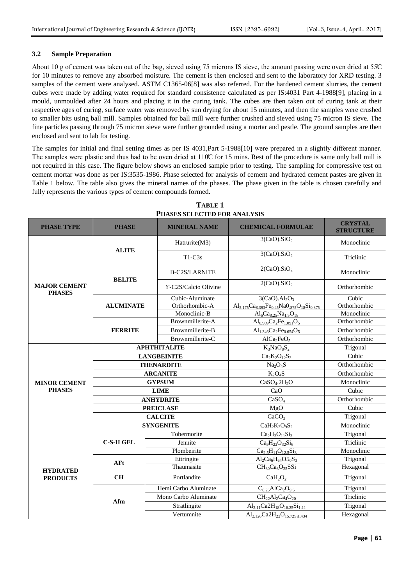## **3.2 Sample Preparation**

About 10 g of cement was taken out of the bag, sieved using 75 microns IS sieve, the amount passing were oven dried at 55C for 10 minutes to remove any absorbed moisture. The cement is then enclosed and sent to the laboratory for XRD testing. 3 samples of the cement were analysed. ASTM C1365-06[8] was also referred. For the hardened cement slurries, the cement cubes were made by adding water required for standard consistence calculated as per IS:4031 Part 4-1988[9], placing in a mould, unmoulded after 24 hours and placing it in the curing tank. The cubes are then taken out of curing tank at their respective ages of curing, surface water was removed by sun drying for about 15 minutes, and then the samples were crushed to smaller bits using ball mill. Samples obtained for ball mill were further crushed and sieved using 75 micron IS sieve. The fine particles passing through 75 micron sieve were further grounded using a mortar and pestle. The ground samples are then enclosed and sent to lab for testing.

The samples for initial and final setting times as per IS 4031,Part 5-1988[10] were prepared in a slightly different manner. The samples were plastic and thus had to be oven dried at 110°C for 15 mins. Rest of the procedure is same only ball mill is not required in this case. The figure below shows an enclosed sample prior to testing. The sampling for compressive test on cement mortar was done as per IS:3535-1986. Phase selected for analysis of cement and hydrated cement pastes are given in Table 1 below. The table also gives the mineral names of the phases. The phase given in the table is chosen carefully and fully represents the various types of cement compounds formed.

| <b>PHASE TYPE</b>                    | <b>PHASE</b>     | <b>MINERAL NAME</b>  | <b>CHEMICAL FORMULAE</b>                                         | <b>CRYSTAL</b><br><b>STRUCTURE</b> |
|--------------------------------------|------------------|----------------------|------------------------------------------------------------------|------------------------------------|
|                                      | <b>ALITE</b>     | Hatrurite(M3)        | 3(CaO).SiO <sub>2</sub>                                          | Monoclinic                         |
|                                      |                  | $T1-C3s$             | 3(CaO).SiO <sub>2</sub>                                          | Triclinic                          |
|                                      | <b>BELITE</b>    | <b>B-C2S/LARNITE</b> | 2(CaO).SiO <sub>2</sub>                                          | Monoclinic                         |
| <b>MAJOR CEMENT</b><br><b>PHASES</b> |                  | Y-C2S/Calcio Olivine | 2(CaO).SiO <sub>2</sub>                                          | Orthorhombic                       |
|                                      |                  | Cubic-Aluminate      | 3(CaO).Al <sub>2</sub> O <sub>3</sub>                            | Cubic                              |
|                                      | <b>ALUMINATE</b> | Orthorhombic-A       | $Al_{5,175}Ca_{8,393}Fe_{0,45}NaO_{875}O_{18}Si_{0,375}$         | Orthorhombic                       |
|                                      |                  | Monoclinic-B         | $Al_6Ca_{8.25}Na_{1.5}O_{18}$                                    | Monoclinic                         |
|                                      |                  | Brownmillerite-A     | $\text{Al}_{0.909}\text{Ca}_{2}\text{Fe}_{1.091}\text{O}_{5}$    | Orthorhombic                       |
|                                      | <b>FERRITE</b>   | Brownmillerite-B     | $Al_{1.346}Ca_{2}Fe_{0.654}O_{5}$                                | Orthorhombic                       |
|                                      |                  | Brownmillerite-C     | AlCa <sub>2</sub> FeO <sub>5</sub>                               | Orthorhombic                       |
|                                      |                  | <b>APHTHITALITE</b>  | $K_3NaO_8S_2$                                                    | Trigonal                           |
|                                      |                  | <b>LANGBEINITE</b>   | $Ca2K2O12S3$                                                     | Cubic                              |
|                                      |                  | <b>THENARDITE</b>    | Na <sub>2</sub> O <sub>4</sub> S                                 | Orthorhombic                       |
|                                      |                  | <b>ARCANITE</b>      | $K_2O_4S$                                                        | Orthorhombic                       |
| <b>MINOR CEMENT</b>                  |                  | <b>GYPSUM</b>        | CaSO <sub>4</sub> .2H <sub>2</sub> O                             | Monoclinic                         |
| <b>PHASES</b>                        |                  | <b>LIME</b>          | CaO                                                              | Cubic                              |
|                                      |                  | <b>ANHYDRITE</b>     | CaSO <sub>4</sub>                                                | Orthorhombic                       |
|                                      |                  | <b>PREICLASE</b>     | MgO                                                              | Cubic                              |
|                                      |                  | <b>CALCITE</b>       | CaCO <sub>3</sub>                                                | Trigonal                           |
|                                      |                  | <b>SYNGENITE</b>     | $CaH2K2O9S2$                                                     | Monoclinic                         |
|                                      |                  | Tobermorite          | $Ca2H3O11Si3$                                                    | Trigonal                           |
|                                      | <b>C-S-H GEL</b> | Jennite              | $Ca9H22O32Si6$                                                   | Triclinic                          |
|                                      |                  | Plombeirite          | $Ca_{2.5}H_{11}O_{12.5}Si_3$                                     | Monoclinic                         |
|                                      |                  | Ettringite           | $Al_2Ca_6H_{64}O5_0S_3$                                          | Trigonal                           |
| <b>HYDRATED</b><br><b>PRODUCTS</b>   | AFt              | Thaumasite           | $CH_{30}Ca3O25SSi$                                               | Hexagonal                          |
|                                      | <b>CH</b>        | Portlandite          | CaH <sub>2</sub> O <sub>2</sub>                                  | Trigonal                           |
|                                      |                  | Hemi Carbo Aluminate | $\overline{C}_{0.25}$ AlCa <sub>2</sub> O <sub>9.5</sub>         | Trigonal                           |
|                                      |                  | Mono Carbo Aluminate | $CH_{22}Al_{2}Ca_{4}O_{20}$                                      | Triclinic                          |
|                                      | Afm              | Stratlingite         | $Al_{2.11}Ca2H_{18}O_{16.25}Si_{1.11}$                           | Trigonal                           |
|                                      |                  | Vertumnite           | Al <sub>2.126</sub> Ca2H <sub>22</sub> O <sub>15.72Si1.434</sub> | Hexagonal                          |

**TABLE 1 PHASES SELECTED FOR ANALYSIS**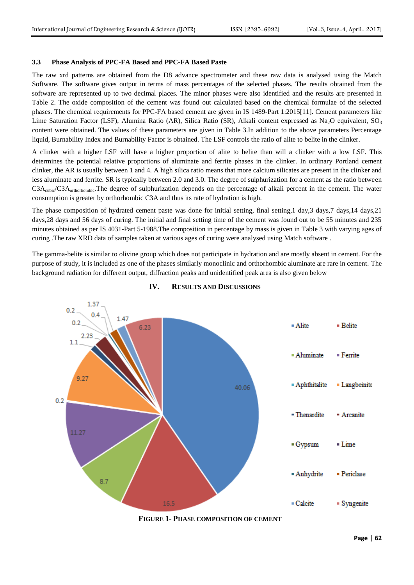### **3.3 Phase Analysis of PPC-FA Based and PPC-FA Based Paste**

The raw xrd patterns are obtained from the D8 advance spectrometer and these raw data is analysed using the Match Software. The software gives output in terms of mass percentages of the selected phases. The results obtained from the software are represented up to two decimal places. The minor phases were also identified and the results are presented in Table 2. The oxide composition of the cement was found out calculated based on the chemical formulae of the selected phases. The chemical requirements for PPC-FA based cement are given in IS 1489-Part 1:2015[11]. Cement parameters like Lime Saturation Factor (LSF), Alumina Ratio (AR), Silica Ratio (SR), Alkali content expressed as Na<sub>2</sub>O equivalent, SO<sub>3</sub> content were obtained. The values of these parameters are given in Table 3.In addition to the above parameters Percentage liquid, Burnability Index and Burnability Factor is obtained. The LSF controls the ratio of alite to belite in the clinker.

A clinker with a higher LSF will have a higher proportion of alite to belite than will a clinker with a low LSF. This determines the potential relative proportions of aluminate and ferrite phases in the clinker. In ordinary Portland cement clinker, the AR is usually between 1 and 4. A high silica ratio means that more calcium silicates are present in the clinker and less aluminate and ferrite. SR is typically between 2.0 and 3.0. The degree of sulphurization for a cement as the ratio between  $C3A_{\text{cubic}}/C3A_{\text{orthofhombic}}$ . The degree of sulphurization depends on the percentage of alkali percent in the cement. The water consumption is greater by orthorhombic C3A and thus its rate of hydration is high.

The phase composition of hydrated cement paste was done for initial setting, final setting,1 day,3 days,7 days,14 days,21 days,28 days and 56 days of curing. The initial and final setting time of the cement was found out to be 55 minutes and 235 minutes obtained as per IS 4031-Part 5-1988.The composition in percentage by mass is given in Table 3 with varying ages of curing .The raw XRD data of samples taken at various ages of curing were analysed using Match software .

The gamma-belite is similar to olivine group which does not participate in hydration and are mostly absent in cement. For the purpose of study, it is included as one of the phases similarly monoclinic and orthorhombic aluminate are rare in cement. The background radiation for different output, diffraction peaks and unidentified peak area is also given below



**IV. RESULTS AND DISCUSSIONS**

**FIGURE 1- PHASE COMPOSITION OF CEMENT**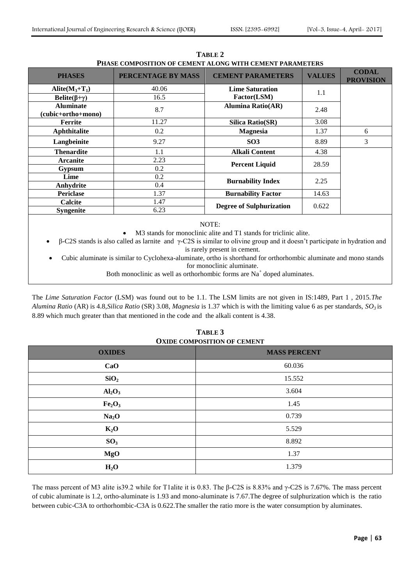| <b>PHASES</b>                          | PERCENTAGE BY MASS | <b>CEMENT PARAMETERS</b>        | <b>VALUES</b> | <b>CODAL</b><br><b>PROVISION</b> |
|----------------------------------------|--------------------|---------------------------------|---------------|----------------------------------|
| Alite $(M_3+T_1)$                      | 40.06              | <b>Lime Saturation</b>          | 1.1           |                                  |
| Belite( $\beta + \gamma$ )             | 16.5               | Factor(LSM)                     |               |                                  |
| <b>Aluminate</b><br>(cubic+ortho+mono) | 8.7                | <b>Alumina Ratio(AR)</b>        | 2.48          |                                  |
| Ferrite                                | 11.27              | <b>Silica Ratio(SR)</b>         | 3.08          |                                  |
| Aphthitalite                           | 0.2                | <b>Magnesia</b>                 | 1.37          | 6                                |
| Langbeinite                            | 9.27               | SO <sub>3</sub>                 | 8.89          | 3                                |
| <b>Thenardite</b>                      | 1.1                | <b>Alkali Content</b>           | 4.38          |                                  |
| <b>Arcanite</b>                        | 2.23               | <b>Percent Liquid</b>           | 28.59         |                                  |
| <b>Gypsum</b>                          | 0.2                |                                 |               |                                  |
| Lime                                   | 0.2                | <b>Burnability Index</b>        | 2.25          |                                  |
| Anhydrite                              | 0.4                |                                 |               |                                  |
| <b>Periclase</b>                       | 1.37               | <b>Burnability Factor</b>       | 14.63         |                                  |
| Calcite                                | 1.47               | <b>Degree of Sulphurization</b> | 0.622         |                                  |
| <b>Syngenite</b>                       | 6.23               |                                 |               |                                  |

**TABLE 2 PHASE COMPOSITION OF CEMENT ALONG WITH CEMENT PARAMETERS**

NOTE:

M3 stands for monoclinic alite and T1 stands for triclinic alite.

 β-C2S stands is also called as larnite and γ-C2S is similar to olivine group and it doesn't participate in hydration and is rarely present in cement.

 Cubic aluminate is similar to Cyclohexa-aluminate, ortho is shorthand for orthorhombic aluminate and mono stands for monoclinic aluminate.

Both monoclinic as well as orthorhombic forms are  $Na<sup>+</sup>$  doped aluminates.

The *Lime Saturation Factor* (LSM) was found out to be 1.1. The LSM limits are not given in IS:1489, Part 1 , 2015.*The Alumina Ratio* (AR) is 4.8,*Silica Ratio* (SR) 3.08, *Magnesia* is 1.37 which is with the limiting value 6 as per standards, *SO<sup>3</sup>* is 8.89 which much greater than that mentioned in the code and the alkali content is 4.38.

# **TABLE 3 OXIDE COMPOSITION OF CEMENT**

| <b>OXIDES</b>                  | <b>MASS PERCENT</b> |
|--------------------------------|---------------------|
| CaO                            | 60.036              |
| SiO <sub>2</sub>               | 15.552              |
| Al <sub>2</sub> O <sub>3</sub> | 3.604               |
| Fe <sub>2</sub> O <sub>3</sub> | 1.45                |
| Na <sub>2</sub> O              | 0.739               |
| $K_2O$                         | 5.529               |
| SO <sub>3</sub>                | 8.892               |
| <b>MgO</b>                     | 1.37                |
| H <sub>2</sub> O               | 1.379               |

The mass percent of M3 alite is 39.2 while for T1alite it is 0.83. The β-C2S is 8.83% and γ-C2S is 7.67%. The mass percent of cubic aluminate is 1.2, ortho-aluminate is 1.93 and mono-aluminate is 7.67.The degree of sulphurization which is the ratio between cubic-C3A to orthorhombic-C3A is 0.622.The smaller the ratio more is the water consumption by aluminates.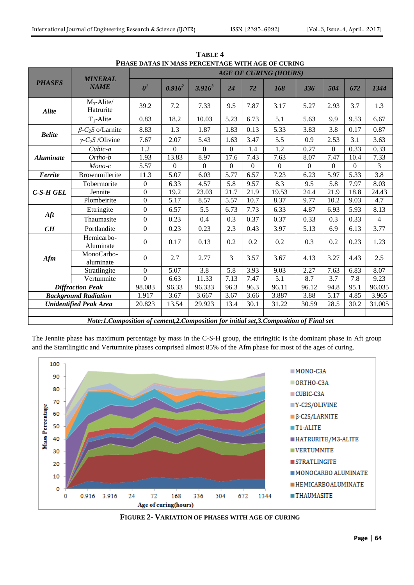|                                                                                       | <b>MINERAL</b><br><b>NAME</b>       | <b>AGE OF CURING (HOURS)</b>       |                   |                  |                  |          |                |                  |                  |                |                |
|---------------------------------------------------------------------------------------|-------------------------------------|------------------------------------|-------------------|------------------|------------------|----------|----------------|------------------|------------------|----------------|----------------|
| <b>PHASES</b>                                                                         |                                     | $\boldsymbol{\theta}^{\textit{l}}$ | $0.916^2$         | $3.916^{3}$      | 24               | 72       | 168            | 336              | 504              | 672            | 1344           |
| <b>Alite</b>                                                                          | $M_3$ -Alite/<br>Hatrurite          | 39.2                               | 7.2               | 7.33             | 9.5              | 7.87     | 3.17           | 5.27             | 2.93             | 3.7            | 1.3            |
|                                                                                       | $T_1$ -Alite                        | 0.83                               | 18.2              | 10.03            | 5.23             | 6.73     | 5.1            | 5.63             | 9.9              | 9.53           | 6.67           |
| <b>Belite</b>                                                                         | $\beta$ -C <sub>2</sub> S o/Larnite | 8.83                               | 1.3               | 1.87             | 1.83             | 0.13     | 5.33           | 3.83             | 3.8              | 0.17           | 0.87           |
|                                                                                       | $\gamma$ -C <sub>2</sub> S /Olivine | 7.67                               | 2.07              | 5.43             | 1.63             | 3.47     | 5.5            | 0.9              | 2.53             | 3.1            | 3.63           |
|                                                                                       | Cubic-a                             | 1.2                                | $\mathbf{0}$      | $\mathbf{0}$     | $\boldsymbol{0}$ | 1.4      | $1.2\,$        | 0.27             | $\boldsymbol{0}$ | 0.33           | 0.33           |
| <i><b>Aluminate</b></i>                                                               | Ortho-b                             | 1.93                               | 13.83             | 8.97             | 17.6             | 7.43     | 7.63           | 8.07             | 7.47             | 10.4           | 7.33           |
|                                                                                       | $Mono-c$                            | 5.57                               | $\Omega$          | $\Omega$         | $\overline{0}$   | $\Omega$ | $\overline{0}$ | $\boldsymbol{0}$ | $\boldsymbol{0}$ | $\overline{0}$ | $\overline{3}$ |
| Ferrite                                                                               | Brownmillerite                      | 11.3                               | 5.07              | 6.03             | 5.77             | 6.57     | 7.23           | 6.23             | 5.97             | 5.33           | 3.8            |
| $C$ -S-H $ GEL$                                                                       | Tobermorite                         | $\boldsymbol{0}$                   | 6.33              | 4.57             | 5.8              | 9.57     | 8.3            | 9.5              | 5.8              | 7.97           | 8.03           |
|                                                                                       | Jennite                             | $\boldsymbol{0}$                   | 19.2              | 23.03            | 21.7             | 21.9     | 19.53          | 24.4             | 21.9             | 18.8           | 24.43          |
|                                                                                       | Plombeirite                         | $\boldsymbol{0}$                   | 5.17              | 8.57             | 5.57             | 10.7     | 8.37           | 9.77             | 10.2             | 9.03           | 4.7            |
|                                                                                       | Ettringite                          | $\boldsymbol{0}$                   | 6.57              | 5.5              | 6.73             | 7.73     | 6.33           | 4.87             | 6.93             | 5.93           | 8.13           |
| Aft                                                                                   | Thaumasite                          | $\overline{0}$                     | 0.23              | 0.4              | 0.3              | 0.37     | 0.37           | 0.33             | 0.3              | 0.33           | $\overline{4}$ |
| CH                                                                                    | Portlandite                         | $\boldsymbol{0}$                   | 0.23              | 0.23             | 2.3              | 0.43     | 3.97           | 5.13             | 6.9              | 6.13           | 3.77           |
|                                                                                       | Hemicarbo-<br>Aluminate             | $\Omega$                           | 0.17              | 0.13             | 0.2              | 0.2      | 0.2            | 0.3              | 0.2              | 0.23           | 1.23           |
| Afm                                                                                   | MonoCarbo-<br>aluminate             | $\overline{0}$                     | 2.7               | 2.77             | 3                | 3.57     | 3.67           | 4.13             | 3.27             | 4.43           | 2.5            |
|                                                                                       | Stratlingite                        | $\overline{0}$                     | $\overline{5.07}$ | $\overline{3.8}$ | $\overline{5.8}$ | 3.93     | 9.03           | 2.27             | 7.63             | 6.83           | 8.07           |
|                                                                                       | $\overline{V}$ ertumnite            | $\Omega$                           | 6.63              | 11.33            | 7.13             | 7.47     | 5.1            | 8.7              | 3.7              | 7.8            | 9.23           |
| <b>Diffraction Peak</b>                                                               |                                     | 98.083                             | 96.33             | 96.333           | 96.3             | 96.3     | 96.11          | 96.12            | 94.8             | 95.1           | 96.035         |
| <b>Background Radiation</b>                                                           |                                     | 1.917                              | 3.67              | 3.667            | 3.67             | 3.66     | 3.887          | 3.88             | 5.17             | 4.85           | 3.965          |
| <b>Unidentified Peak Area</b>                                                         |                                     | 20.823                             | 13.54             | 29.923           | 13.4             | 30.1     | 31.22          | 30.59            | 28.5             | 30.2           | 31.005         |
|                                                                                       |                                     |                                    |                   |                  |                  |          |                |                  |                  |                |                |
| Note:1.Composition of cement,2.Composition for initial set,3.Composition of Final set |                                     |                                    |                   |                  |                  |          |                |                  |                  |                |                |

**TABLE 4 PHASE DATAS IN MASS PERCENTAGE WITH AGE OF CURING**

The Jennite phase has maximum percentage by mass in the C-S-H group, the ettringitic is the dominant phase in Aft group and the Stantlingitic and Vertumnite phases comprised almost 85% of the Afm phase for most of the ages of curing.



**FIGURE 2- VARIATION OF PHASES WITH AGE OF CURING**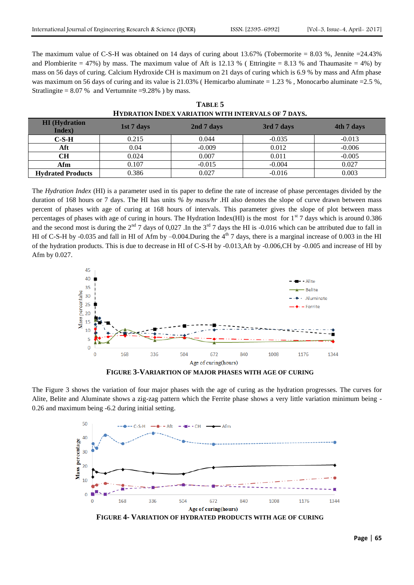The maximum value of C-S-H was obtained on 14 days of curing about 13.67% (Tobermorite  $= 8.03$ %, Jennite  $= 24.43\%$ and Plombierite = 47%) by mass. The maximum value of Aft is 12.13 % (Ettringite = 8.13 % and Thaumasite = 4%) by mass on 56 days of curing. Calcium Hydroxide CH is maximum on 21 days of curing which is 6.9 % by mass and Afm phase was maximum on 56 days of curing and its value is 21.03% (Hemicarbo aluminate  $= 1.23$ %, Monocarbo aluminate  $= 2.5$ %, Stratlingite =  $8.07\%$  and Vertumnite =  $9.28\%$  ) by mass.

| IITDKAIION INDEA VAKIATION WITH INTEKVALS OF 7 DATS. |            |            |            |            |  |  |  |  |
|------------------------------------------------------|------------|------------|------------|------------|--|--|--|--|
| <b>HI</b> (Hydration<br>Index)                       | 1st 7 days | 2nd 7 days | 3rd 7 days | 4th 7 days |  |  |  |  |
| $C-S-H$                                              | 0.215      | 0.044      | $-0.035$   | $-0.013$   |  |  |  |  |
| Aft                                                  | 0.04       | $-0.009$   | 0.012      | $-0.006$   |  |  |  |  |
| <b>CH</b>                                            | 0.024      | 0.007      | 0.011      | $-0.005$   |  |  |  |  |
| Afm                                                  | 0.107      | $-0.015$   | $-0.004$   | 0.027      |  |  |  |  |
| <b>Hydrated Products</b>                             | 0.386      | 0.027      | $-0.016$   | 0.003      |  |  |  |  |

**TABLE 5 HYDRATION INDEX VARIATION WITH INTERVALS OF 7 DAYS.**

The *Hydration Index* (HI) is a parameter used in tis paper to define the rate of increase of phase percentages divided by the duration of 168 hours or 7 days. The HI has units *% by mass/hr* .HI also denotes the slope of curve drawn between mass percent of phases with age of curing at 168 hours of intervals. This parameter gives the slope of plot between mass percentages of phases with age of curing in hours. The Hydration Index(HI) is the most for  $1<sup>st</sup>$  7 days which is around 0.386 and the second most is during the  $2<sup>nd</sup> 7$  days of 0,027. In the  $3<sup>rd</sup> 7$  days the HI is -0.016 which can be attributed due to fall in HI of C-S-H by -0.035 and fall in HI of Afm by  $-0.004$ . During the  $4<sup>th</sup>$  7 days, there is a marginal increase of 0.003 in the HI of the hydration products. This is due to decrease in HI of C-S-H by -0.013,Aft by -0.006,CH by -0.005 and increase of HI by Afm by 0.027.



**FIGURE 3-VARIARTION OF MAJOR PHASES WITH AGE OF CURING**

The Figure 3 shows the variation of four major phases with the age of curing as the hydration progresses. The curves for Alite, Belite and Aluminate shows a zig-zag pattern which the Ferrite phase shows a very little variation minimum being - 0.26 and maximum being -6.2 during initial setting.

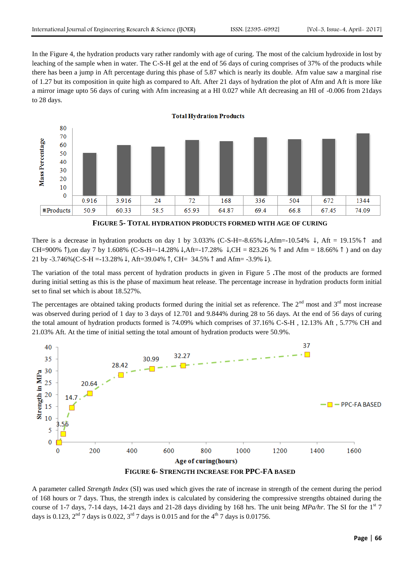In the Figure 4, the hydration products vary rather randomly with age of curing. The most of the calcium hydroxide in lost by leaching of the sample when in water. The C-S-H gel at the end of 56 days of curing comprises of 37% of the products while there has been a jump in Aft percentage during this phase of 5.87 which is nearly its double. Afm value saw a marginal rise of 1.27 but its composition in quite high as compared to Aft. After 21 days of hydration the plot of Afm and Aft is more like a mirror image upto 56 days of curing with Afm increasing at a HI 0.027 while Aft decreasing an HI of -0.006 from 21days to 28 days.



**FIGURE 5- TOTAL HYDRATION PRODUCTS FORMED WITH AGE OF CURING**

There is a decrease in hydration products on day 1 by 3.033% (C-S-H=-8.65%  $\downarrow$ ,Afm=-10.54%  $\downarrow$ , Aft = 19.15%  $\uparrow$  and CH=900%  $\hat{}$ ),on day 7 by 1.608% (C-S-H=-14.28%  $\hat{}$ ,Aft=-17.28%  $\hat{}$ ,CH = 823.26 %  $\hat{}$  and Afm = 18.66%  $\hat{}$ ) and on day 21 by -3.746% (C-S-H = -13.28%  $\downarrow$ , Aft=39.04%  $\uparrow$ , CH= 34.5%  $\uparrow$  and Afm= -3.9%  $\downarrow$ ).

The variation of the total mass percent of hydration products in given in Figure 5 **.**The most of the products are formed during initial setting as this is the phase of maximum heat release. The percentage increase in hydration products form initial set to final set which is about 18.527%.

The percentages are obtained taking products formed during the initial set as reference. The  $2<sup>nd</sup>$  most and  $3<sup>rd</sup>$  most increase was observed during period of 1 day to 3 days of 12.701 and 9.844% during 28 to 56 days. At the end of 56 days of curing the total amount of hydration products formed is 74.09% which comprises of 37.16% C-S-H , 12.13% Aft , 5.77% CH and 21.03% Aft. At the time of initial setting the total amount of hydration products were 50.9%.



A parameter called *Strength Index* (SI) was used which gives the rate of increase in strength of the cement during the period of 168 hours or 7 days. Thus, the strength index is calculated by considering the compressive strengths obtained during the course of 1-7 days, 7-14 days, 14-21 days and 21-28 days dividing by 168 hrs. The unit being  $MPa/hr$ . The SI for the 1<sup>st</sup> 7 days is 0.123,  $2^{nd}$  7 days is 0.022,  $3^{rd}$  7 days is 0.015 and for the 4<sup>th</sup> 7 days is 0.01756.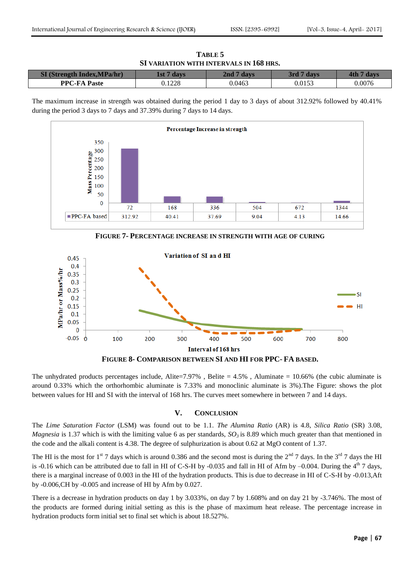**TABLE 5 SI VARIATION WITH INTERVALS IN 168 HRS.**

| CT/G4<br>Index.MPa/hr)<br>. AStre | l st |        | davs<br>ort |        |
|-----------------------------------|------|--------|-------------|--------|
| $PPC$ - $FA$<br>Paste             | 1228 | 0.0463 | 0.0153      | 0.0076 |

The maximum increase in strength was obtained during the period 1 day to 3 days of about 312.92% followed by 40.41% during the period 3 days to 7 days and 37.39% during 7 days to 14 days.



**FIGURE 7- PERCENTAGE INCREASE IN STRENGTH WITH AGE OF CURING**



**FIGURE 8- COMPARISON BETWEEN SI AND HI FOR PPC- FA BASED.**

The unhydrated products percentages include, Alite=7.97%, Belite =  $4.5\%$ , Aluminate =  $10.66\%$  (the cubic aluminate is around 0.33% which the orthorhombic aluminate is 7.33% and monoclinic aluminate is 3%).The Figure: shows the plot between values for HI and SI with the interval of 168 hrs. The curves meet somewhere in between 7 and 14 days.

## **V. CONCLUSION**

The *Lime Saturation Factor* (LSM) was found out to be 1.1. *The Alumina Ratio* (AR) is 4.8, *Silica Ratio* (SR) 3.08, *Magnesia* is 1.37 which is with the limiting value 6 as per standards,  $SO_3$  is 8.89 which much greater than that mentioned in the code and the alkali content is 4.38. The degree of sulphurization is about 0.62 at MgO content of 1.37.

The HI is the most for 1<sup>st</sup> 7 days which is around 0.386 and the second most is during the  $2<sup>nd</sup>$  7 days. In the 3<sup>rd</sup> 7 days the HI is -0.16 which can be attributed due to fall in HI of C-S-H by -0.035 and fall in HI of Afm by  $-0.004$ . During the  $4<sup>th</sup>$  7 days, there is a marginal increase of 0.003 in the HI of the hydration products. This is due to decrease in HI of C-S-H by -0.013,Aft by -0.006,CH by -0.005 and increase of HI by Afm by 0.027.

There is a decrease in hydration products on day 1 by 3.033%, on day 7 by 1.608% and on day 21 by -3.746%. The most of the products are formed during initial setting as this is the phase of maximum heat release. The percentage increase in hydration products form initial set to final set which is about 18.527%.